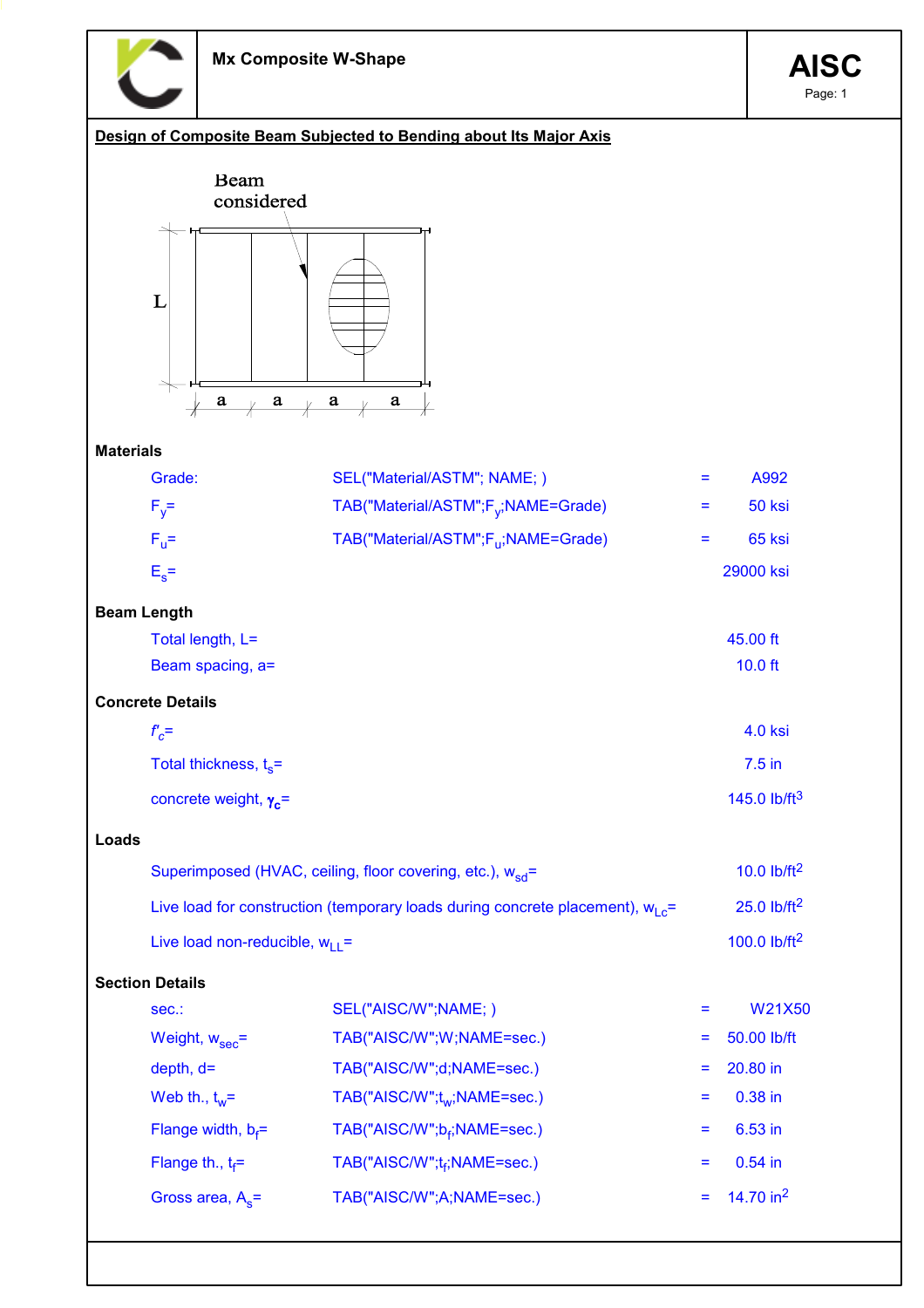

Page: 1

## Design of Composite Beam Subjected to Bending about Its Major Axis



## Materials

|       | Grade:                                                                            | SEL("Material/ASTM"; NAME; )                                          | Ξ   | A992                      |
|-------|-----------------------------------------------------------------------------------|-----------------------------------------------------------------------|-----|---------------------------|
|       | $F_v =$                                                                           | TAB("Material/ASTM";F <sub>v</sub> ;NAME=Grade)                       | Ξ   | 50 ksi                    |
|       | $F_u =$                                                                           | TAB("Material/ASTM";F <sub>ii</sub> ;NAME=Grade)                      | Ξ   | 65 ksi                    |
|       | $E_s =$                                                                           |                                                                       |     | 29000 ksi                 |
|       | <b>Beam Length</b>                                                                |                                                                       |     |                           |
|       | Total length, L=                                                                  |                                                                       |     | 45.00 ft                  |
|       | Beam spacing, a=                                                                  |                                                                       |     | $10.0$ ft                 |
|       | <b>Concrete Details</b>                                                           |                                                                       |     |                           |
|       | $f_c$ =                                                                           |                                                                       |     | <b>4.0 ksi</b>            |
|       | Total thickness, $t_s$ =                                                          |                                                                       |     | $7.5$ in                  |
|       | concrete weight, $\gamma_c$ =                                                     |                                                                       |     | 145.0 $lb/ft^3$           |
| Loads |                                                                                   |                                                                       |     |                           |
|       |                                                                                   | Superimposed (HVAC, ceiling, floor covering, etc.), w <sub>sd</sub> = |     | 10.0 $lb/ft^2$            |
|       | Live load for construction (temporary loads during concrete placement), $w_1 e$ = |                                                                       |     | $25.0$ lb/ft <sup>2</sup> |
|       | Live load non-reducible, $w_{11}$ =                                               |                                                                       |     | 100.0 $lb/ft^2$           |
|       | <b>Section Details</b>                                                            |                                                                       |     |                           |
|       | sec.:                                                                             | SEL("AISC/W";NAME;)                                                   | $=$ | W21X50                    |
|       | Weight, $w_{sec}$ =                                                               | TAB("AISC/W";W;NAME=sec.)                                             |     | 50.00 lb/ft               |
|       | $depth, d=$                                                                       | TAB("AISC/W";d;NAME=sec.)                                             | Ξ   | 20.80 in                  |
|       | Web th., $t_w =$                                                                  | TAB("AISC/W";t <sub>w</sub> ;NAME=sec.)                               | Ξ   | 0.38 in                   |
|       | Flange width, $b_f$ =                                                             | TAB("AISC/W";b <sub>f</sub> ;NAME=sec.)                               | $=$ | 6.53 in                   |
|       | Flange th., $t_f =$                                                               | TAB("AISC/W";t <sub>f</sub> ;NAME=sec.)                               | Ξ   | $0.54$ in                 |
|       | Gross area, $A_s$ =                                                               | TAB("AISC/W";A;NAME=sec.)                                             | ÷,  | 14.70 in $^2$             |
|       |                                                                                   |                                                                       |     |                           |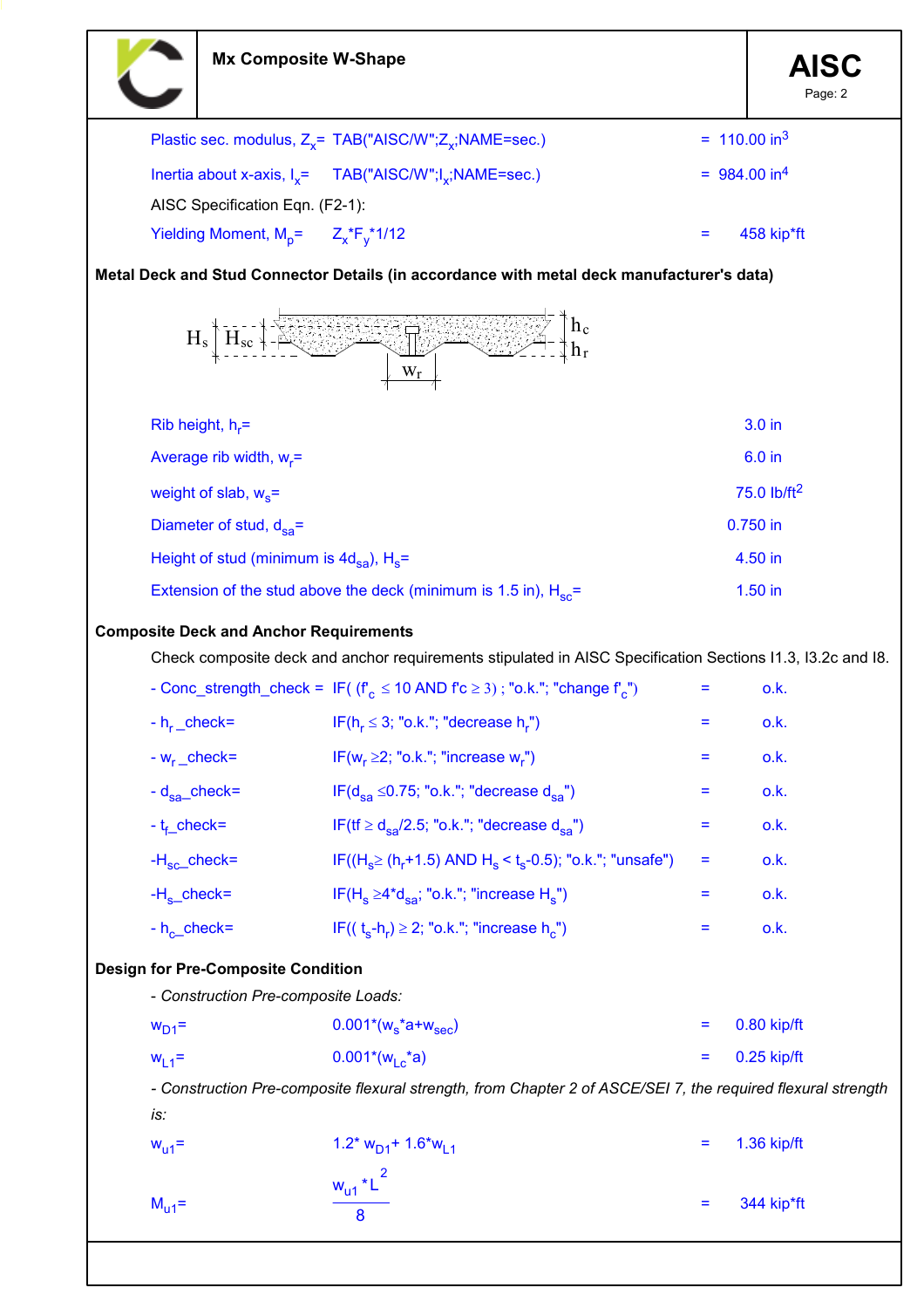|                   | <b>Mx Composite W-Shape</b>                              |                                                                                                              |     | <b>AISC</b><br>Page: 2     |
|-------------------|----------------------------------------------------------|--------------------------------------------------------------------------------------------------------------|-----|----------------------------|
|                   |                                                          | Plastic sec. modulus, $Z_x$ = TAB("AISC/W"; $Z_x$ ;NAME=sec.)                                                |     | $= 110.00$ in <sup>3</sup> |
|                   |                                                          | Inertia about x-axis, $I_x = TAB("AISC/W"; I_x; NAME = sec.)$                                                |     | $= 984.00$ in <sup>4</sup> |
|                   | AISC Specification Eqn. (F2-1):                          |                                                                                                              |     |                            |
|                   | Yielding Moment, $M_p = Z_x * F_y * 1/12$                |                                                                                                              |     | 458 kip*ft                 |
|                   |                                                          | Metal Deck and Stud Connector Details (in accordance with metal deck manufacturer's data)                    |     |                            |
|                   | $H_s$                                                    | $h_c$<br>$W_r$                                                                                               |     |                            |
|                   | Rib height, $h_r =$                                      |                                                                                                              |     | 3.0 in                     |
|                   | Average rib width, $w_r =$                               |                                                                                                              |     | 6.0 in                     |
|                   | weight of slab, $w_s$ =                                  |                                                                                                              |     | 75.0 lb/ft <sup>2</sup>    |
|                   | Diameter of stud, $d_{sa}$ =                             |                                                                                                              |     | 0.750 in                   |
|                   | Height of stud (minimum is $4d_{sa}$ ), H <sub>s</sub> = |                                                                                                              |     | 4.50 in                    |
|                   |                                                          | Extension of the stud above the deck (minimum is 1.5 in), $H_{sc}$ =                                         |     | 1.50 in                    |
|                   | <b>Composite Deck and Anchor Requirements</b>            |                                                                                                              |     |                            |
|                   |                                                          | Check composite deck and anchor requirements stipulated in AISC Specification Sections I1.3, I3.2c and I8.   |     |                            |
|                   |                                                          | - Conc_strength_check = $IF( (fc \le 10 AND fc \ge 3) ; "o.k."; "change fc")$                                |     | o.k.                       |
|                   |                                                          | - $h_r$ <sub>r</sub> check= IF( $h_r \leq 3$ ; "o.k."; "decrease $h_r$ ")                                    |     | o.k.                       |
| $-w_r$ _check=    |                                                          | IF( $w_r \geq 2$ ; "o.k."; "increase $w_r$ ")                                                                | $=$ | o.k.                       |
| $-d_{sa}$ _check= |                                                          | IF( $d_{sa} \le 0.75$ ; "o.k."; "decrease $d_{sa}$ ")                                                        | Ξ   | o.k.                       |
| $-t_f$ check=     |                                                          | IF(tf $\geq d_{sa}/2.5$ ; "o.k."; "decrease $d_{sa}$ ")                                                      | $=$ | o.k.                       |
| $-Hsc$ check=     |                                                          | IF( $(H_s \ge (h_r + 1.5)$ AND $H_s < t_s - 0.5)$ ; "o.k."; "unsafe")                                        | Ξ   | o.k.                       |
| $-Hs$ check=      |                                                          | IF(H <sub>s</sub> $\geq$ 4*d <sub>sa</sub> ; "o.k."; "increase H <sub>s</sub> ")                             | Ξ   | o.k.                       |
| $-h_{c}$ check=   |                                                          | IF( $(t_s-h_r) \geq 2$ ; "o.k."; "increase h <sub>c</sub> ")                                                 | Ξ.  | o.k.                       |
|                   | <b>Design for Pre-Composite Condition</b>                |                                                                                                              |     |                            |
|                   | - Construction Pre-composite Loads:                      |                                                                                                              |     |                            |
| $WD1$ =           |                                                          | $0.001*(w_s^*a+w_{\text{sec}})$                                                                              | Ξ   | 0.80 kip/ft                |
| $W_{L1}$ =        |                                                          | $0.001*(w1 c * a)$                                                                                           | $=$ | $0.25$ kip/ft              |
|                   |                                                          | - Construction Pre-composite flexural strength, from Chapter 2 of ASCE/SEI 7, the required flexural strength |     |                            |
| is:<br>$W_{u1}$ = |                                                          | $1.2$ * $W_{D1}$ + 1.6 <sup>*</sup> $W_{L1}$                                                                 | Ξ   | 1.36 kip/ft                |
|                   |                                                          |                                                                                                              |     |                            |
| $M_{u1}$ =        |                                                          | $w_{u1}$ * $L^2$                                                                                             | Ξ   | 344 kip*ft                 |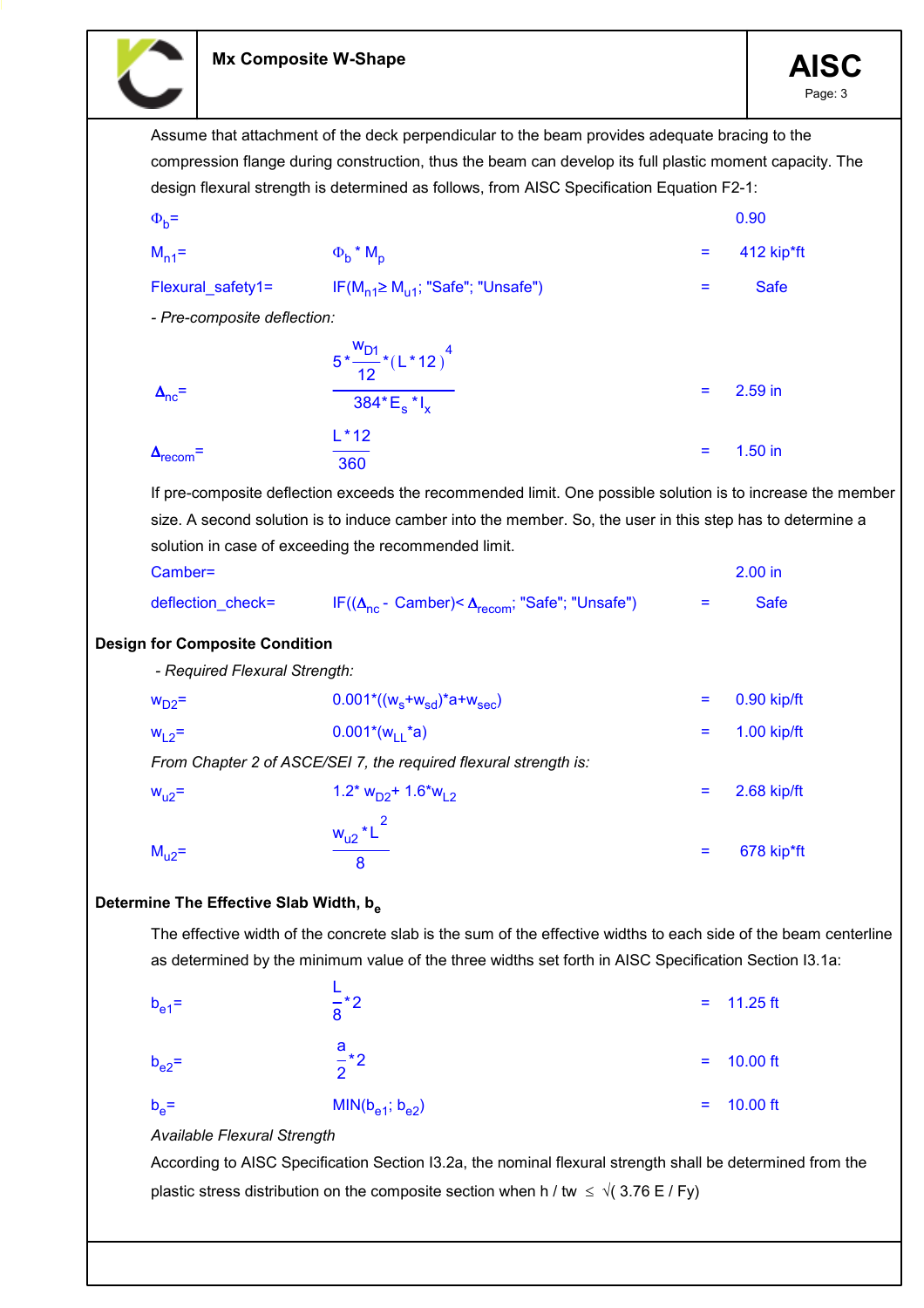

Assume that attachment of the deck perpendicular to the beam provides adequate bracing to the compression flange during construction, thus the beam can develop its full plastic moment capacity. The design flexural strength is determined as follows, from AISC Specification Equation F2-1:  $\Phi_{b}$ =  $=$  0.90  $M_{n1}$ =  $\Phi_b$  \*  $M_p$ = 412 kip\*ft Flexural\_safety1= IF(M<sub>n1</sub>≥ M<sub>u1</sub>; "Safe"; "Unsafe") = Safe - Pre-composite deflection:  $\Delta_{\text{nc}}$ =  $5 \frac{1}{10}$  \* ( w<sub>D1</sub> 12  $(L * 12)^{4}$ 384\*E<sub>s</sub> \*I<sub>x</sub> = 2.59 in  $\Delta_{\text{recom}}$ =  $L * 12$ 360 = 1.50 in If pre-composite deflection exceeds the recommended limit. One possible solution is to increase the member size. A second solution is to induce camber into the member. So, the user in this step has to determine a solution in case of exceeding the recommended limit. Camber= 2.00 in deflection\_check=  $IF((\Delta_{\text{nc}} \cdot \text{Camber}) \leq \Delta_{\text{recom}}$ ; "Safe"; "Unsafe") = Safe Design for Composite Condition - Required Flexural Strength:  $w_{D2}$ = 0.90 kip/ft 0.001\*((w<sub>s</sub>+w<sub>sd</sub>)\*a+w<sub>sec</sub>) = 0.90 kip/ft  $w_{1,2}$ = 0.001\*( $w_{1,1}$ \*a) = 1.00 kip/ft From Chapter 2 of ASCE/SEI 7, the required flexural strength is:  $W_{12}$ = 2.68 kip/ft  $M<sub>u2</sub>=$  $w_{u2}$ \*L $^2$ 8 = 678 kip\*ft Determine The Effective Slab Width, b. The effective width of the concrete slab is the sum of the effective widths to each side of the beam centerline as determined by the minimum value of the three widths set forth in AISC Specification Section I3.1a:  $b_{\alpha 1}$ = L 8  $= 11.25 \text{ ft}$  $b_{e2}$ =  $\frac{1}{2}$   $\frac{1}{2}$ a 2  $10.00$  ft  $b_{\alpha}$ =  $MIN(b_{p1}; b_{p2})$  = 10.00 ft Available Flexural Strength According to AISC Specification Section I3.2a, the nominal flexural strength shall be determined from the plastic stress distribution on the composite section when h / tw  $\leq \sqrt{(3.76 \text{ E} / \text{Fy})}$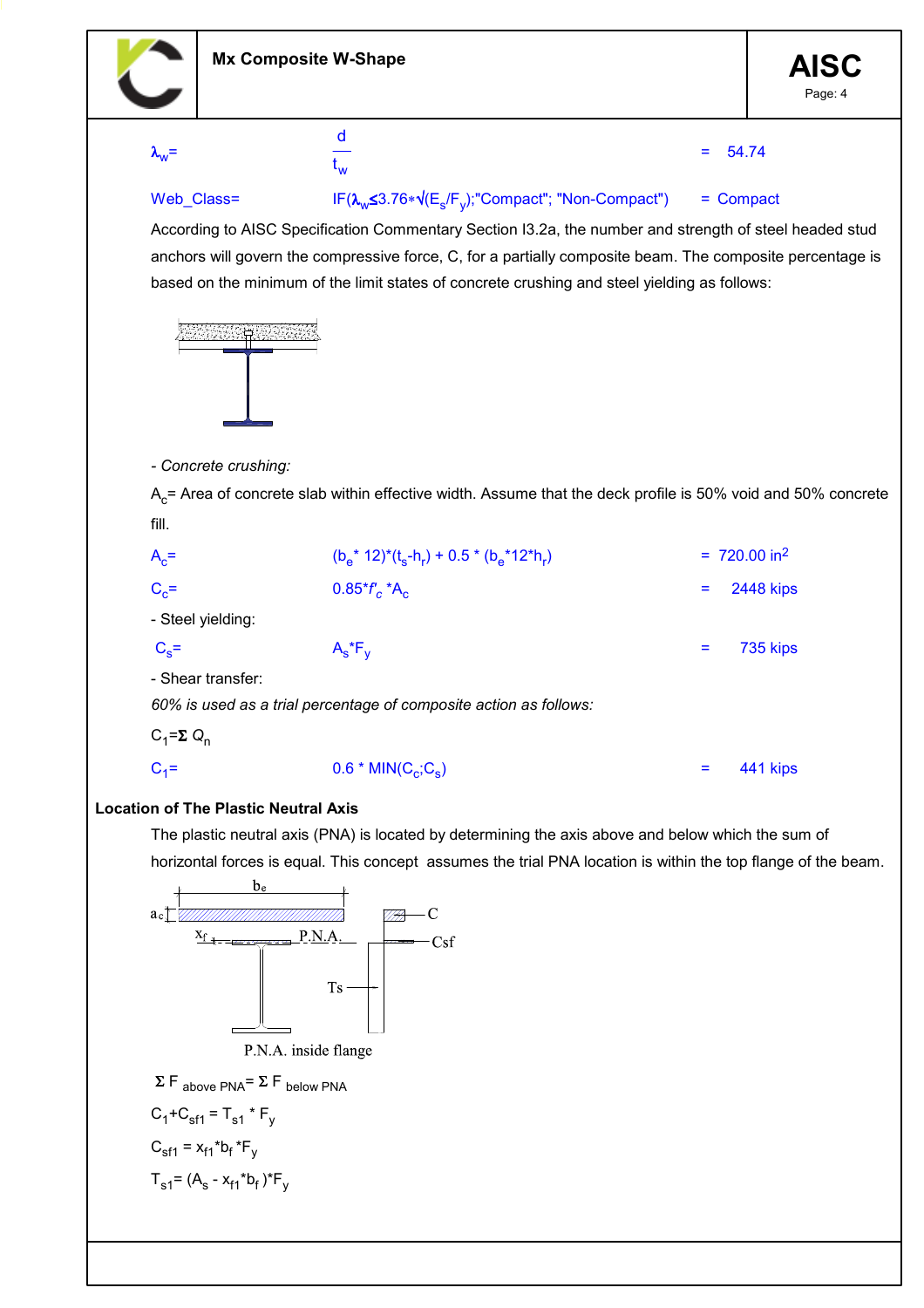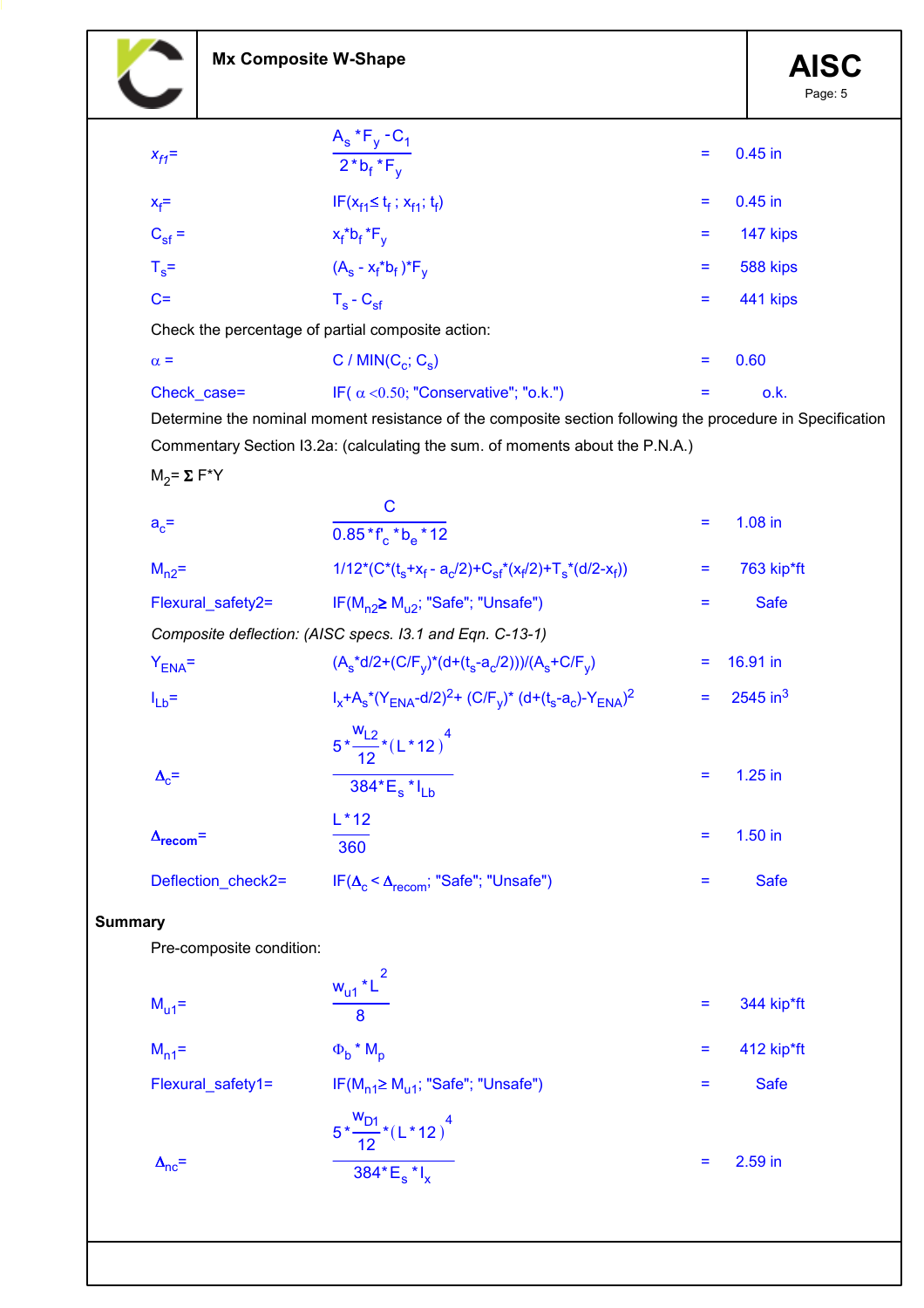|                           | <b>Mx Composite W-Shape</b>                       |                                                                                                           | <b>AISC</b><br>Page: 5 |
|---------------------------|---------------------------------------------------|-----------------------------------------------------------------------------------------------------------|------------------------|
|                           |                                                   | $A_s * F_y - C_1$                                                                                         |                        |
| $x_{f1}$ =                |                                                   | Ξ<br>$\overline{2^*b_f^*F_v}$                                                                             | $0.45$ in              |
| $X_f =$                   |                                                   | $IF(X_{f1} \leq t_f ; X_{f1}; t_f)$<br>Ξ                                                                  | $0.45$ in              |
| $C_{\rm sf}$ =            |                                                   | $x_f * b_f * F_y$<br>Ξ                                                                                    | 147 kips               |
| $T_s$ =                   |                                                   | $(A_s - x_f * b_f) * F_v$<br>Ξ                                                                            | 588 kips               |
| $C =$                     |                                                   | $T_s - C_{sf}$<br>Ξ                                                                                       | 441 kips               |
|                           | Check the percentage of partial composite action: |                                                                                                           |                        |
| $\alpha =$                |                                                   | C / MIN $(C_c; C_s)$<br>Ξ                                                                                 | 0.60                   |
| Check_case=               |                                                   | IF( $\alpha$ < 0.50; "Conservative"; "o.k.")<br>Ξ                                                         | o.k.                   |
|                           |                                                   | Determine the nominal moment resistance of the composite section following the procedure in Specification |                        |
|                           |                                                   | Commentary Section I3.2a: (calculating the sum. of moments about the P.N.A.)                              |                        |
| $M_2 = \Sigma F^*Y$       |                                                   | $\mathbf C$                                                                                               |                        |
| $a_c =$                   |                                                   | Ξ<br>$0.85 * f_c * b_a * 12$                                                                              | $1.08$ in              |
| $M_{n2}$ =                |                                                   | $1/12^*(C^*(t_s+x_f-a_c/2)+C_{sf}^*(x_f/2)+T_s^*(d/2-x_f))$<br>Ξ                                          | 763 kip*ft             |
|                           | Flexural_safety2=                                 | IF( $M_{n2} \ge M_{12}$ ; "Safe"; "Unsafe")<br>Ξ                                                          | <b>Safe</b>            |
|                           |                                                   | Composite deflection: (AISC specs. 13.1 and Eqn. C-13-1)                                                  |                        |
| $Y_{ENA} =$               |                                                   | $(A_s^*d/2+(C/F_y)^*(d+(t_s-a_c/2)))/(A_s+C/F_y)$<br>Ξ                                                    | 16.91 in               |
| $I_{Lb}$ =                |                                                   | $I_x + A_s * (Y_{ENA} - d/2)^2 + (C/F_v)^* (d + (t_s - a_c) - Y_{ENA})^2$<br>Ξ                            | $2545$ in <sup>3</sup> |
| $\Delta_c$ =              |                                                   | $5*\frac{w_{L2}}{12}*(L*12)^{4}$<br>Ξ<br>$\overline{384}$ * $E_s$ * $I_{Lb}$                              | $1.25$ in              |
| $\Delta_{\text{recom}}$ = |                                                   | $L*12$<br>Ξ<br>360                                                                                        | $1.50$ in              |
|                           | Deflection_check2=                                | $IF(\Delta_{c} < \Delta_{recom}; "Safe"; "Unsafe")$<br>Ξ                                                  | <b>Safe</b>            |
| <b>Summary</b>            |                                                   |                                                                                                           |                        |
|                           | Pre-composite condition:                          |                                                                                                           |                        |
| $M_{u1}$ =                |                                                   | $\frac{w_{u1} * L^2}{L}$<br>Ξ<br>$\overline{8}$                                                           | 344 kip*ft             |
| $M_{n1}$ =                |                                                   | $\Phi_b$ * $M_p$<br>Ξ                                                                                     | 412 kip*ft             |
|                           | Flexural_safety1=                                 | $IF(M_{n1} \geq M_{u1}; "Safe"; "Unsafe")$<br>Ξ                                                           | <b>Safe</b>            |
|                           |                                                   | $\frac{5*\frac{w_{D1}}{12}*(L*12)^{4}}{384*E_{s}*I_{x}}$                                                  |                        |
| $\Delta_{\text{nc}}$ =    |                                                   | Ξ                                                                                                         | 2.59 in                |
|                           |                                                   |                                                                                                           |                        |

Ĭ.

Τ